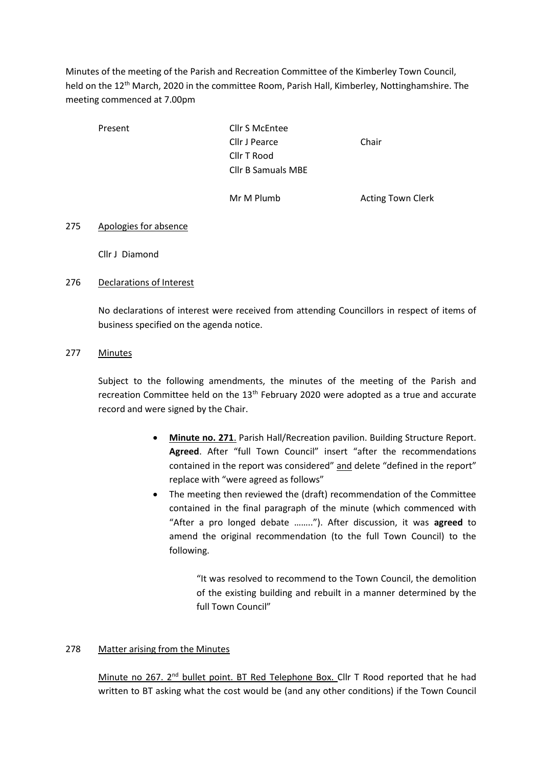Minutes of the meeting of the Parish and Recreation Committee of the Kimberley Town Council, held on the 12<sup>th</sup> March, 2020 in the committee Room, Parish Hall, Kimberley, Nottinghamshire. The meeting commenced at 7.00pm

| Present | Cllr S McEntee            |                          |
|---------|---------------------------|--------------------------|
|         | Cllr J Pearce             | Chair                    |
|         | Cllr T Rood               |                          |
|         | <b>Cllr B Samuals MBE</b> |                          |
|         | Mr M Plumb                | <b>Acting Town Clerk</b> |

## 275 Apologies for absence

Cllr J Diamond

#### 276 Declarations of Interest

No declarations of interest were received from attending Councillors in respect of items of business specified on the agenda notice.

# 277 Minutes

Subject to the following amendments, the minutes of the meeting of the Parish and recreation Committee held on the 13<sup>th</sup> February 2020 were adopted as a true and accurate record and were signed by the Chair.

- **Minute no. 271**. Parish Hall/Recreation pavilion. Building Structure Report. **Agreed**. After "full Town Council" insert "after the recommendations contained in the report was considered" and delete "defined in the report" replace with "were agreed as follows"
- The meeting then reviewed the (draft) recommendation of the Committee contained in the final paragraph of the minute (which commenced with "After a pro longed debate …….."). After discussion, it was **agreed** to amend the original recommendation (to the full Town Council) to the following.

"It was resolved to recommend to the Town Council, the demolition of the existing building and rebuilt in a manner determined by the full Town Council"

## 278 Matter arising from the Minutes

Minute no 267. 2<sup>nd</sup> bullet point. BT Red Telephone Box. Cllr T Rood reported that he had written to BT asking what the cost would be (and any other conditions) if the Town Council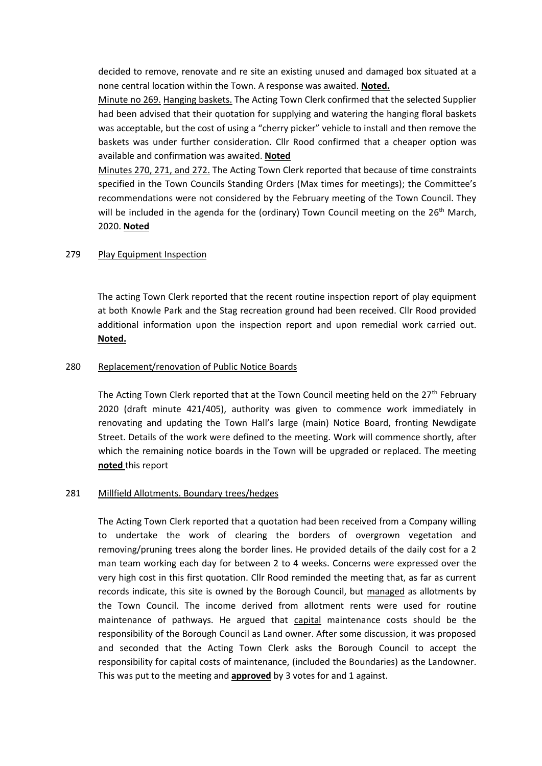decided to remove, renovate and re site an existing unused and damaged box situated at a none central location within the Town. A response was awaited. **Noted.**

Minute no 269. Hanging baskets. The Acting Town Clerk confirmed that the selected Supplier had been advised that their quotation for supplying and watering the hanging floral baskets was acceptable, but the cost of using a "cherry picker" vehicle to install and then remove the baskets was under further consideration. Cllr Rood confirmed that a cheaper option was available and confirmation was awaited. **Noted**

Minutes 270, 271, and 272. The Acting Town Clerk reported that because of time constraints specified in the Town Councils Standing Orders (Max times for meetings); the Committee's recommendations were not considered by the February meeting of the Town Council. They will be included in the agenda for the (ordinary) Town Council meeting on the 26<sup>th</sup> March, 2020. **Noted**

#### 279 Play Equipment Inspection

The acting Town Clerk reported that the recent routine inspection report of play equipment at both Knowle Park and the Stag recreation ground had been received. Cllr Rood provided additional information upon the inspection report and upon remedial work carried out. **Noted.**

#### 280 Replacement/renovation of Public Notice Boards

The Acting Town Clerk reported that at the Town Council meeting held on the 27<sup>th</sup> February 2020 (draft minute 421/405), authority was given to commence work immediately in renovating and updating the Town Hall's large (main) Notice Board, fronting Newdigate Street. Details of the work were defined to the meeting. Work will commence shortly, after which the remaining notice boards in the Town will be upgraded or replaced. The meeting **noted** this report

# 281 Millfield Allotments. Boundary trees/hedges

The Acting Town Clerk reported that a quotation had been received from a Company willing to undertake the work of clearing the borders of overgrown vegetation and removing/pruning trees along the border lines. He provided details of the daily cost for a 2 man team working each day for between 2 to 4 weeks. Concerns were expressed over the very high cost in this first quotation. Cllr Rood reminded the meeting that, as far as current records indicate, this site is owned by the Borough Council, but managed as allotments by the Town Council. The income derived from allotment rents were used for routine maintenance of pathways. He argued that capital maintenance costs should be the responsibility of the Borough Council as Land owner. After some discussion, it was proposed and seconded that the Acting Town Clerk asks the Borough Council to accept the responsibility for capital costs of maintenance, (included the Boundaries) as the Landowner. This was put to the meeting and **approved** by 3 votes for and 1 against.